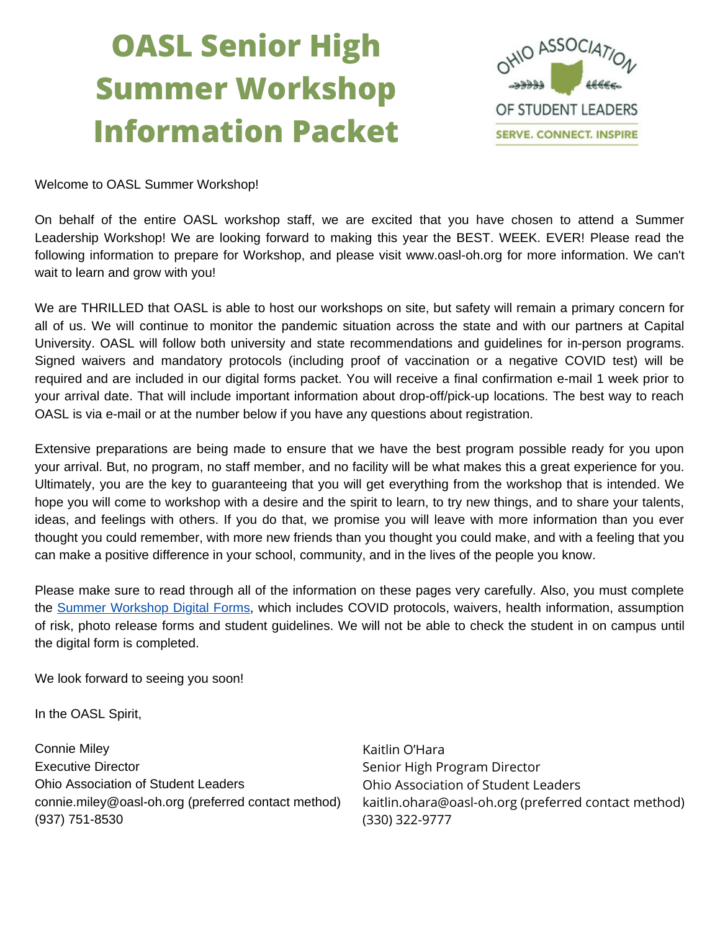# **OASL Senior High Summer Workshop Information Packet**



Welcome to OASL Summer [Workshop!](https://docs.google.com/forms/d/e/1FAIpQLSdlz6VFCGlRiKShvJeKHlWBMbOy6CWkDJF7jeBZu9wY3mOFsA/viewform)

On behalf of the entire OASL [workshop](https://docs.google.com/forms/d/e/1FAIpQLSdlz6VFCGlRiKShvJeKHlWBMbOy6CWkDJF7jeBZu9wY3mOFsA/viewform) staff, we are excited that you have chosen to attend a Summer Leadership Workshop! We are looking forward to making this year the BEST. WEEK. EVER! Please read the following information to prepare for Workshop, and please visit [www.oasl-oh.org](https://docs.google.com/forms/d/e/1FAIpQLSdlz6VFCGlRiKShvJeKHlWBMbOy6CWkDJF7jeBZu9wY3mOFsA/viewform) for more information. We can't wait to learn and grow with you!

We are THRILLED that OASL is able to host our workshops on site, but safety will remain a primary concern for all of us. We will continue to monitor the pandemic situation across the state and with our partners at Capital University. OASL will follow both university and state [recommendations](https://docs.google.com/forms/d/e/1FAIpQLSdlz6VFCGlRiKShvJeKHlWBMbOy6CWkDJF7jeBZu9wY3mOFsA/viewform) and guidelines for in-person programs. Signed waivers and mandatory protocols (including proof of vaccination or a negative COVID test) will be required and are included in our digital forms packet. You will receive a final confirmation e-mail 1 week prior to your arrival date. That will include important information about [drop-off/pick-up](https://docs.google.com/forms/d/e/1FAIpQLSdlz6VFCGlRiKShvJeKHlWBMbOy6CWkDJF7jeBZu9wY3mOFsA/viewform) locations. The best way to reach OASL is via e-mail or at the number below if you have any questions about registration[.](https://docs.google.com/forms/d/e/1FAIpQLSdlz6VFCGlRiKShvJeKHlWBMbOy6CWkDJF7jeBZu9wY3mOFsA/viewform)

Extensive preparations are being made to ensure that we have the best program possible ready for you upon your arrival. But, no program, no staff member, and no facility will be what makes this a great experience for you. Ultimately, you are the key to [guaranteeing](https://docs.google.com/forms/d/e/1FAIpQLSdlz6VFCGlRiKShvJeKHlWBMbOy6CWkDJF7jeBZu9wY3mOFsA/viewform) that you will get everything from the workshop that is intended. We hope you will come to workshop with a desire and the spirit to learn, to try new things, and to share your talents, ideas, and feelings with others. If you do that, we promise you will leave with more information than you ever thought you could remember, with more new friends than you thought you could make, and with a feeling that you can make a positive difference in your school, [community,](https://docs.google.com/forms/d/e/1FAIpQLSdlz6VFCGlRiKShvJeKHlWBMbOy6CWkDJF7jeBZu9wY3mOFsA/viewform) and in the lives of the people you know.

Please make sure to read through all of the [information](https://docs.google.com/forms/d/e/1FAIpQLSdlz6VFCGlRiKShvJeKHlWBMbOy6CWkDJF7jeBZu9wY3mOFsA/viewform) on these pages very carefully. Also, you must complete the Summer [Workshop](https://docs.google.com/forms/d/e/1FAIpQLSdlz6VFCGlRiKShvJeKHlWBMbOy6CWkDJF7jeBZu9wY3mOFsA/viewform) Digital Forms, which includes COVID protocols, waivers, health [information,](https://docs.google.com/forms/d/e/1FAIpQLSdlz6VFCGlRiKShvJeKHlWBMbOy6CWkDJF7jeBZu9wY3mOFsA/viewform) assumption of risk, photo release forms and student guidelines. We will not be able to check the student in on campus until the digital form is completed.

We look [forward](https://docs.google.com/forms/d/e/1FAIpQLSdlz6VFCGlRiKShvJeKHlWBMbOy6CWkDJF7jeBZu9wY3mOFsA/viewform) to seeing you soon[!](https://docs.google.com/forms/d/e/1FAIpQLSdlz6VFCGlRiKShvJeKHlWBMbOy6CWkDJF7jeBZu9wY3mOFsA/viewform)

In the [OASL](https://docs.google.com/forms/d/e/1FAIpQLSdlz6VFCGlRiKShvJeKHlWBMbOy6CWkDJF7jeBZu9wY3mOFsA/viewform) Spirit,

[Connie](https://docs.google.com/forms/d/e/1FAIpQLSdlz6VFCGlRiKShvJeKHlWBMbOy6CWkDJF7jeBZu9wY3mOFsA/viewform) Miley [Executive](https://docs.google.com/forms/d/e/1FAIpQLSdlz6VFCGlRiKShvJeKHlWBMbOy6CWkDJF7jeBZu9wY3mOFsA/viewform) Director Ohio [Association](https://docs.google.com/forms/d/e/1FAIpQLSdlz6VFCGlRiKShvJeKHlWBMbOy6CWkDJF7jeBZu9wY3mOFsA/viewform) of Student Leaders [connie.miley@oasl-oh.org](https://docs.google.com/forms/d/e/1FAIpQLSdlz6VFCGlRiKShvJeKHlWBMbOy6CWkDJF7jeBZu9wY3mOFsA/viewform) (preferred contact method[\)](https://docs.google.com/forms/d/e/1FAIpQLSdlz6VFCGlRiKShvJeKHlWBMbOy6CWkDJF7jeBZu9wY3mOFsA/viewform) (937) [751-8530](https://docs.google.com/forms/d/e/1FAIpQLSdlz6VFCGlRiKShvJeKHlWBMbOy6CWkDJF7jeBZu9wY3mOFsA/viewform)

Kaitlin O'Hara Senior High Program Director Ohio Association of Student Leaders kaitlin.ohara@oasl-oh.org (preferred contact method) (330) 322-9777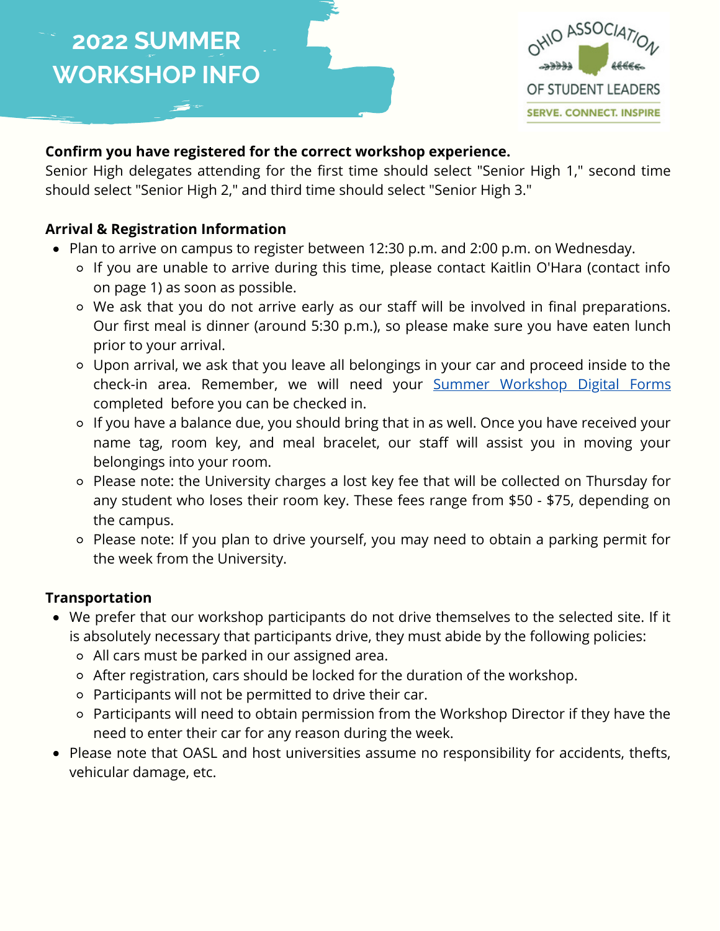

### **[Confirm you have registered for the correct workshop experience.](https://docs.google.com/forms/d/e/1FAIpQLSdlz6VFCGlRiKShvJeKHlWBMbOy6CWkDJF7jeBZu9wY3mOFsA/viewform)**

[Senior High delegates attending for the first time should select "Senior High 1," second time](https://docs.google.com/forms/d/e/1FAIpQLSdlz6VFCGlRiKShvJeKHlWBMbOy6CWkDJF7jeBZu9wY3mOFsA/viewform) should select "Senior High 2," and third time should select "Senior High 3."

### **[Arrival & Registration Information](https://docs.google.com/forms/d/e/1FAIpQLSdlz6VFCGlRiKShvJeKHlWBMbOy6CWkDJF7jeBZu9wY3mOFsA/viewform)**

- [Plan to arrive on campus to register between 12:30 p.m. and 2:00 p.m. on Wednesday.](https://docs.google.com/forms/d/e/1FAIpQLSdlz6VFCGlRiKShvJeKHlWBMbOy6CWkDJF7jeBZu9wY3mOFsA/viewform)
	- [If you are unable to arrive during this time, please contact Kaitlin O'Hara \(contact info](https://docs.google.com/forms/d/e/1FAIpQLSdlz6VFCGlRiKShvJeKHlWBMbOy6CWkDJF7jeBZu9wY3mOFsA/viewform) on page 1) as soon as possible[.](https://docs.google.com/forms/d/e/1FAIpQLSdlz6VFCGlRiKShvJeKHlWBMbOy6CWkDJF7jeBZu9wY3mOFsA/viewform)
	- We ask that you do not arrive early as our staff will be involved in final preparations. [Our first meal is dinner \(around 5:30 p.m.\), so please make sure you have eaten lunch](https://docs.google.com/forms/d/e/1FAIpQLSdlz6VFCGlRiKShvJeKHlWBMbOy6CWkDJF7jeBZu9wY3mOFsA/viewform) prior to your arrival.
	- [Upon arrival, we ask that you leave all belongings in your car and proceed inside to the](https://docs.google.com/forms/d/e/1FAIpQLSdlz6VFCGlRiKShvJeKHlWBMbOy6CWkDJF7jeBZu9wY3mOFsA/viewform) check-in area. Remember, we will need your [Summer Workshop Digital Forms](https://docs.google.com/forms/d/e/1FAIpQLSdlz6VFCGlRiKShvJeKHlWBMbOy6CWkDJF7jeBZu9wY3mOFsA/viewform) [completed before you can be checked in.](https://docs.google.com/forms/d/e/1FAIpQLSdlz6VFCGlRiKShvJeKHlWBMbOy6CWkDJF7jeBZu9wY3mOFsA/viewform)
	- [If you have a balance due, you should bring that in as well. Once you have received your](https://docs.google.com/forms/d/e/1FAIpQLSdlz6VFCGlRiKShvJeKHlWBMbOy6CWkDJF7jeBZu9wY3mOFsA/viewform) name tag, room key, and meal bracelet, our staff will assist you in moving your belongings into your room.
	- [Please note: the University charges a lost key fee that will be collected on Thursday for](https://docs.google.com/forms/d/e/1FAIpQLSdlz6VFCGlRiKShvJeKHlWBMbOy6CWkDJF7jeBZu9wY3mOFsA/viewform) any student who loses their room key. These fees range from \$50 - \$75, depending on the campus.
	- [Please note: If you plan to drive yourself, you may need to obtain a parking permit for](https://docs.google.com/forms/d/e/1FAIpQLSdlz6VFCGlRiKShvJeKHlWBMbOy6CWkDJF7jeBZu9wY3mOFsA/viewform) the week from the University.

### **[Transportation](https://docs.google.com/forms/d/e/1FAIpQLSdlz6VFCGlRiKShvJeKHlWBMbOy6CWkDJF7jeBZu9wY3mOFsA/viewform)**

- [We prefer that our workshop participants do not drive themselves to the selected site. If it](https://docs.google.com/forms/d/e/1FAIpQLSdlz6VFCGlRiKShvJeKHlWBMbOy6CWkDJF7jeBZu9wY3mOFsA/viewform) is absolutely necessary that participants drive, they must abide by the following policies:
	- [All cars must be parked in our assigned area.](https://docs.google.com/forms/d/e/1FAIpQLSdlz6VFCGlRiKShvJeKHlWBMbOy6CWkDJF7jeBZu9wY3mOFsA/viewform)
	- [After registration, cars should be locked for the duration of the workshop.](https://docs.google.com/forms/d/e/1FAIpQLSdlz6VFCGlRiKShvJeKHlWBMbOy6CWkDJF7jeBZu9wY3mOFsA/viewform)
	- [Participants will not be permitted to drive their car.](https://docs.google.com/forms/d/e/1FAIpQLSdlz6VFCGlRiKShvJeKHlWBMbOy6CWkDJF7jeBZu9wY3mOFsA/viewform)
	- [Participants will need to obtain permission from the Workshop Director if they have the](https://docs.google.com/forms/d/e/1FAIpQLSdlz6VFCGlRiKShvJeKHlWBMbOy6CWkDJF7jeBZu9wY3mOFsA/viewform) need to enter their car for any reason during the week.
- [Please note that OASL and host universities assume no responsibility for accidents, thefts,](https://docs.google.com/forms/d/e/1FAIpQLSdlz6VFCGlRiKShvJeKHlWBMbOy6CWkDJF7jeBZu9wY3mOFsA/viewform) vehicular damage, etc.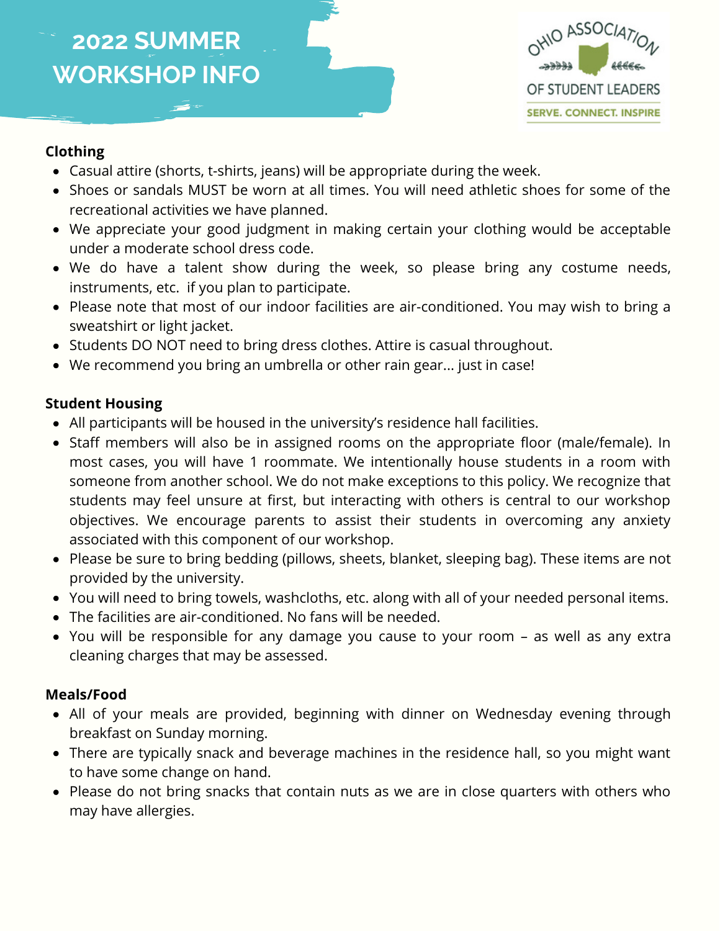

#### **Clothing**

- Casual attire (shorts, t-shirts, jeans) will be appropriate during the week.
- Shoes or sandals MUST be worn at all times. You will need athletic shoes for some of the recreational activities we have planned.
- We appreciate your good judgment in making certain your clothing would be acceptable under a moderate school dress code.
- We do have a talent show during the week, so please bring any costume needs, instruments, etc. if you plan to participate.
- Please note that most of our indoor facilities are air-conditioned. You may wish to bring a sweatshirt or light jacket.
- Students DO NOT need to bring dress clothes. Attire is casual throughout.
- We recommend you bring an umbrella or other rain gear... just in case!

#### **Student Housing**

- All participants will be housed in the university's residence hall facilities.
- Staff members will also be in assigned rooms on the appropriate floor (male/female). In most cases, you will have 1 roommate. We intentionally house students in a room with someone from another school. We do not make exceptions to this policy. We recognize that students may feel unsure at first, but interacting with others is central to our workshop objectives. We encourage parents to assist their students in overcoming any anxiety associated with this component of our workshop.
- Please be sure to bring bedding (pillows, sheets, blanket, sleeping bag). These items are not provided by the university.
- You will need to bring towels, washcloths, etc. along with all of your needed personal items.
- The facilities are air-conditioned. No fans will be needed.
- You will be responsible for any damage you cause to your room as well as any extra cleaning charges that may be assessed.

#### **Meals/Food**

- All of your meals are provided, beginning with dinner on Wednesday evening through breakfast on Sunday morning.
- There are typically snack and beverage machines in the residence hall, so you might want to have some change on hand.
- Please do not bring snacks that contain nuts as we are in close quarters with others who may have allergies.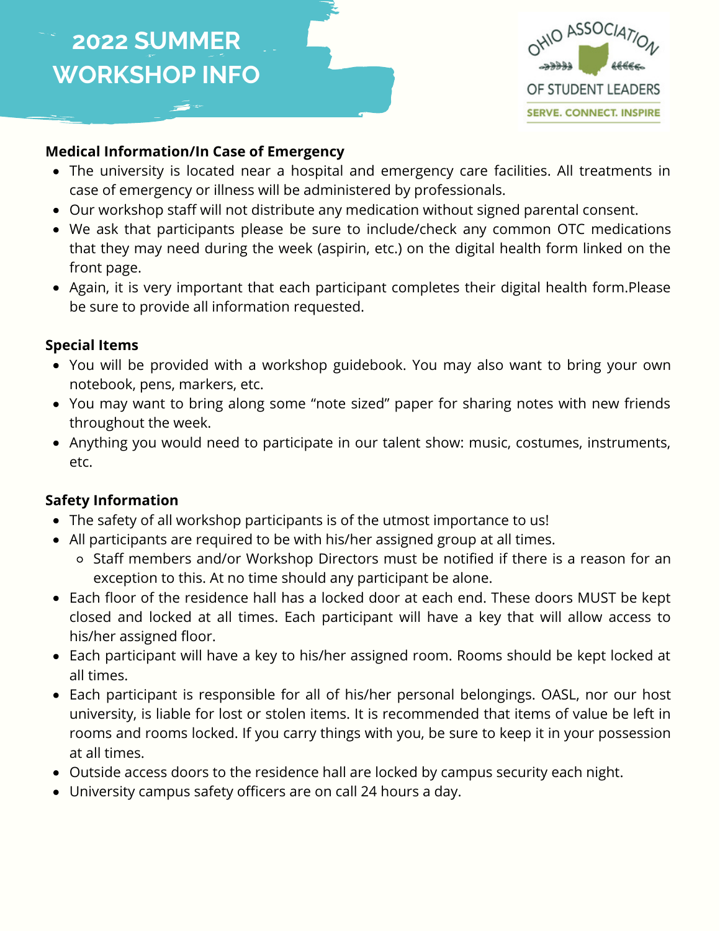

#### **Medical Information/In Case of Emergency**

- The university is located near a hospital and emergency care facilities. All treatments in case of emergency or illness will be administered by professionals.
- Our workshop staff will not distribute any medication without signed parental consent.
- We ask that participants please be sure to include/check any common OTC medications that they may need during the week (aspirin, etc.) on the digital health form linked on the front page.
- Again, it is very important that each participant completes their digital health form.Please be sure to provide all information requested.

#### **Special Items**

- You will be provided with a workshop guidebook. You may also want to bring your own notebook, pens, markers, etc.
- You may want to bring along some "note sized" paper for sharing notes with new friends throughout the week.
- Anything you would need to participate in our talent show: music, costumes, instruments, etc.

### **Safety Information**

- The safety of all workshop participants is of the utmost importance to us!
- All participants are required to be with his/her assigned group at all times.
	- Staff members and/or Workshop Directors must be notified if there is a reason for an exception to this. At no time should any participant be alone.
- Each floor of the residence hall has a locked door at each end. These doors MUST be kept closed and locked at all times. Each participant will have a key that will allow access to his/her assigned floor.
- Each participant will have a key to his/her assigned room. Rooms should be kept locked at all times.
- Each participant is responsible for all of his/her personal belongings. OASL, nor our host university, is liable for lost or stolen items. It is recommended that items of value be left in rooms and rooms locked. If you carry things with you, be sure to keep it in your possession at all times.
- Outside access doors to the residence hall are locked by campus security each night.
- University campus safety officers are on call 24 hours a day.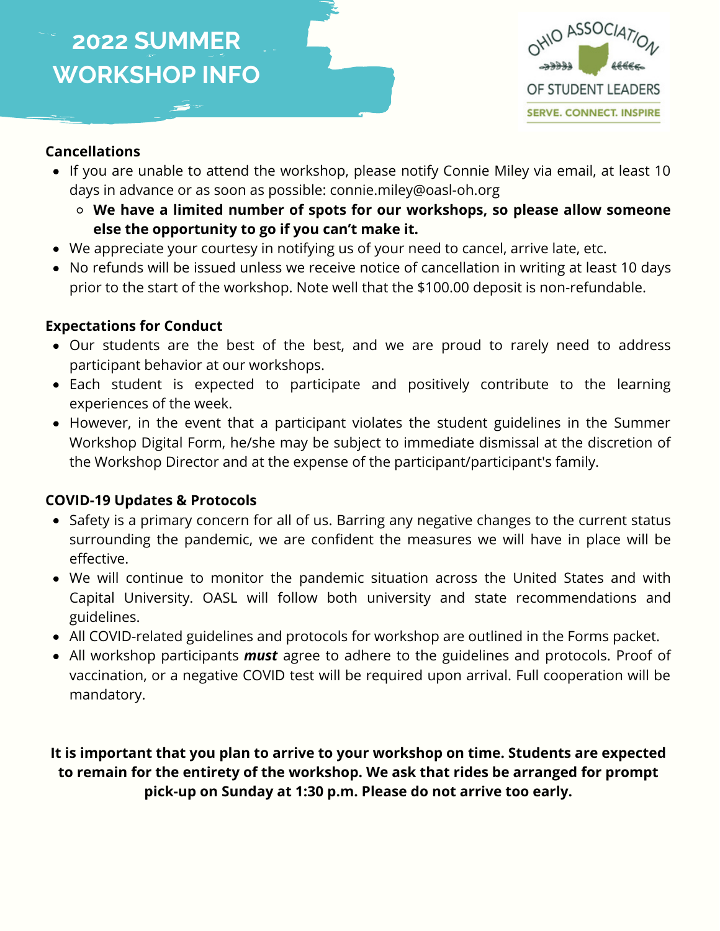

#### **Cancellations**

- If you are unable to attend the workshop, please notify Connie Miley via email, at least 10 days in advance or as soon as possible: connie.miley@oasl-oh.org
	- **We have a limited number of spots for our workshops, so please allow someone else the opportunity to go if you can't make it.**
- We appreciate your courtesy in notifying us of your need to cancel, arrive late, etc.
- No refunds will be issued unless we receive notice of cancellation in writing at least 10 days prior to the start of the workshop. Note well that the \$100.00 deposit is non-refundable.

#### **Expectations for Conduct**

- Our students are the best of the best, and we are proud to rarely need to address participant behavior at our workshops.
- Each student is expected to participate and positively contribute to the learning experiences of the week.
- However, in the event that a participant violates the student guidelines in the Summer Workshop Digital Form, he/she may be subject to immediate dismissal at the discretion of the Workshop Director and at the expense of the participant/participant's family.

#### **COVID-19 Updates & Protocols**

- Safety is a primary concern for all of us. Barring any negative changes to the current status surrounding the pandemic, we are confident the measures we will have in place will be effective.
- We will continue to monitor the pandemic situation across the United States and with Capital University. OASL will follow both university and state recommendations and guidelines.
- All COVID-related guidelines and protocols for workshop are outlined in the Forms packet.
- All workshop participants *must* agree to adhere to the guidelines and protocols. Proof of vaccination, or a negative COVID test will be required upon arrival. Full cooperation will be mandatory.

**It is important that you plan to arrive to your workshop on time. Students are expected to remain for the entirety of the workshop. We ask that rides be arranged for prompt pick-up on Sunday at 1:30 p.m. Please do not arrive too early.**